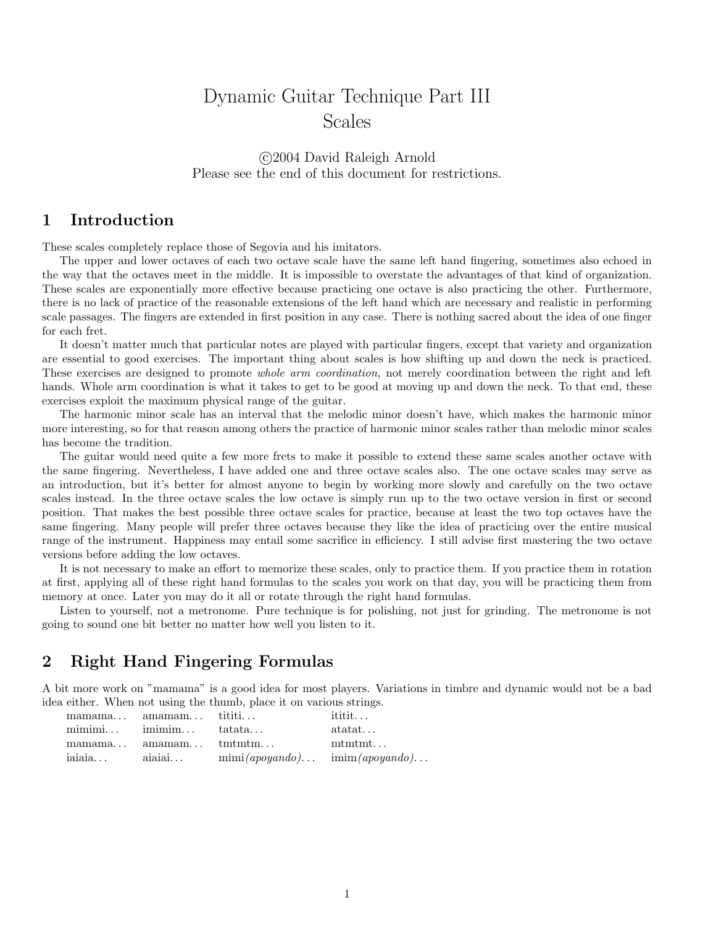# Dynamic Guitar Technique Part III Scales

#### c 2004 David Raleigh Arnold Please see the end of this document for restrictions.

### 1 Introduction

These scales completely replace those of Segovia and his imitators.

The upper and lower octaves of each two octave scale have the same left hand fingering, sometimes also echoed in the way that the octaves meet in the middle. It is impossible to overstate the advantages of that kind of organization. These scales are exponentially more effective because practicing one octave is also practicing the other. Furthermore, there is no lack of practice of the reasonable extensions of the left hand which are necessary and realistic in performing scale passages. The fingers are extended in first position in any case. There is nothing sacred about the idea of one finger for each fret.

It doesn't matter much that particular notes are played with particular fingers, except that variety and organization are essential to good exercises. The important thing about scales is how shifting up and down the neck is practiced. These exercises are designed to promote whole arm coordination, not merely coordination between the right and left hands. Whole arm coordination is what it takes to get to be good at moving up and down the neck. To that end, these exercises exploit the maximum physical range of the guitar.

The harmonic minor scale has an interval that the melodic minor doesn't have, which makes the harmonic minor more interesting, so for that reason among others the practice of harmonic minor scales rather than melodic minor scales has become the tradition.

The guitar would need quite a few more frets to make it possible to extend these same scales another octave with the same fingering. Nevertheless, I have added one and three octave scales also. The one octave scales may serve as an introduction, but it's better for almost anyone to begin by working more slowly and carefully on the two octave scales instead. In the three octave scales the low octave is simply run up to the two octave version in first or second position. That makes the best possible three octave scales for practice, because at least the two top octaves have the same fingering. Many people will prefer three octaves because they like the idea of practicing over the entire musical range of the instrument. Happiness may entail some sacrifice in efficiency. I still advise first mastering the two octave versions before adding the low octaves.

It is not necessary to make an effort to memorize these scales, only to practice them. If you practice them in rotation at first, applying all of these right hand formulas to the scales you work on that day, you will be practicing them from memory at once. Later you may do it all or rotate through the right hand formulas.

Listen to yourself, not a metronome. Pure technique is for polishing, not just for grinding. The metronome is not going to sound one bit better no matter how well you listen to it.

#### 2 Right Hand Fingering Formulas

A bit more work on "mamama" is a good idea for most players. Variations in timbre and dynamic would not be a bad idea either. When not using the thumb, place it on various strings.

|        | mamama amamam tititi                                  |                                                   | $\text{it}$ ititit |
|--------|-------------------------------------------------------|---------------------------------------------------|--------------------|
|        | $\text{minimin.}.$ $\text{minimin.}.$ $\text{tata.}.$ |                                                   | $\text{at}$        |
|        | $mamana$ $amaman$ $tmtm$                              |                                                   | $\text{mtm}$ t     |
| iaiaia | aiaiai                                                | $\min(apoyando) \dots \quad \min(apoyando) \dots$ |                    |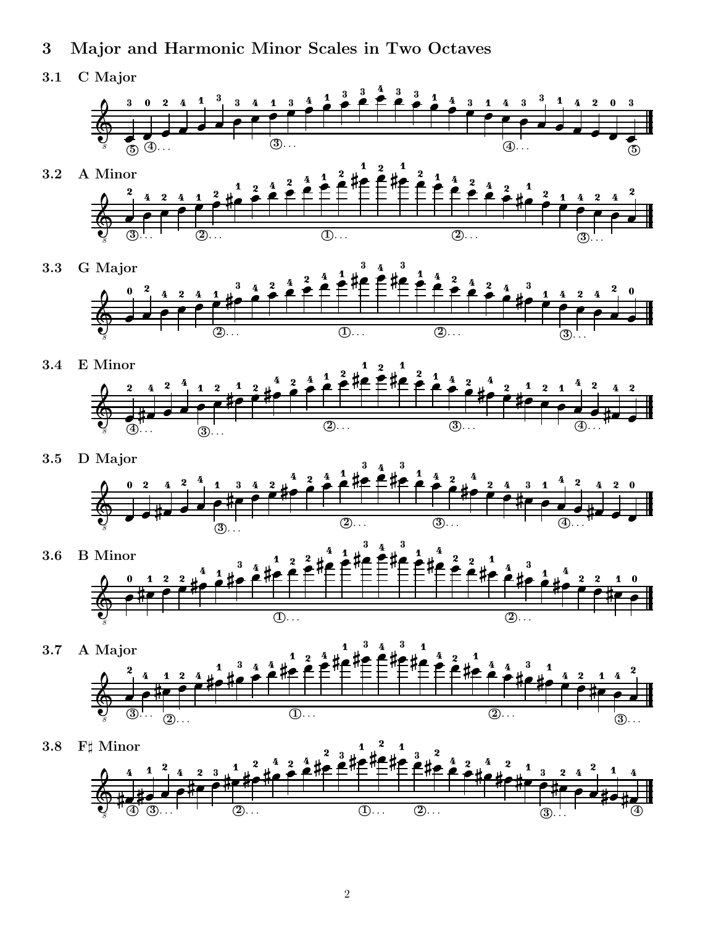- 3 Major and Harmonic Minor Scales in Two Octaves
- 3.1 C Major





3.3 G Major  $\begin{array}{c} \begin{array}{c} \bullet \\ \bullet \end{array} \end{array}$  , and the contract of the contract of the contract of the contract of the contract of the contract of the contract of the contract of the contract of the contract of the contract of the con . . . . <sup>3</sup> . . . \_\_\_\_ the contract of the contract of the contract of the contract of the contract of the contract of the contract of . . . . . . .  $\overline{2}$ ... . . .  $\overline{10}$ ... \_ \_ \_ \_ \_ . . . the contract of the contract of the contract of the contract of the contract of the contract of the contract of  $\sim$   $\sim$   $\sim$   $\sim$   $\sim$   $\sim$  \_ \_ \_ \_ \_ \_ \_ \_ \_ . . . \_ \_ \_ \_ \_ \_ \_ \_ \_ . . . \_\_\_\_\_\_ - - - - - - - - - - -. . . - - - - - <sup>2</sup> . . . 



3.5 D Major



. . .

- 3.6 B Minor 8  $\sim$   $\sim$   $\sim$ the contract of the contract of the contract of the contract of the contract of the contract of the contract of  $(2)$ ... \_ \_ \_ \_ \_ \_ \_ \_ - - - \_ \_ \_ \_ \_ the contract of the contract of the contract of the contract of the contract of the contract of the contract of \_\_\_\_\_\_ . . . \_ \_ \_ \_ \_ \_ \_ \_ \_  $\sim$   $\sim$   $\sim$ - - - - - $\sim$   $\sim$   $\sim$  $\circled{1}$ ... \_ \_ \_ \_ \_ \_ \_ . . . - - - - - - -\_\_\_\_\_\_ - - - \_\_\_\_\_\_ . . .
- 3.7 A Major and the contract of the contract of the contract of the contract of the contract of the contract of the contract of 8 . . . . . . . . . . .  $\circled{3}$ ... the contract of the contract of the contract of the contract of the contract of the contract of the contract of  $\overline{\bigcircled{2}}$ ... the contract of the contract of the contract of the contract of the contract of the contract of the contract of the contract of the contract of the contract of the contract of the contract of the contract of the contract of  $\frac{1}{2}$   $\frac{1}{2}$   $\frac{1}{2}$   $\frac{1}{2}$   $\frac{1}{2}$   $\frac{1}{2}$   $\frac{1}{2}$   $\frac{1}{2}$   $\frac{1}{2}$   $\frac{1}{2}$   $\frac{1}{2}$   $\frac{1}{2}$   $\frac{1}{2}$   $\frac{1}{2}$   $\frac{1}{2}$   $\frac{1}{2}$   $\frac{1}{2}$   $\frac{1}{2}$   $\frac{1}{2}$   $\frac{1}{2}$   $\frac{1}{2}$   $\frac{1}{2}$   $\sim$  0.000  $\sim$  0.000  $\sim$  0.000  $\sim$  0.000  $\sim$  0.000  $\sim$  0.000  $\sim$  0.000  $\sim$  0.000  $\sim$  0.000  $\sim$  0.000  $\sim$  0.000  $\sim$  0.000  $\sim$  0.000  $\sim$  0.000  $\sim$  0.000  $\sim$  0.000  $\sim$  0.000  $\sim$  0.000  $\sim$  0.000  $\sim$  0.000  $\sim$  0.000  $\sim$  0.000  $\sim$  0.000  $\sim$  0.000  $\sim$  0.000  $\sim$  0.000  $\sim$  0.000  $\sim$  0.000  $\sim$  0.000  $\sim$  0.000  $\sim$  0.000  $\sim$  0.000  $\sim$  0.000  $\sim$  0.000  $\sim$  0.000  $\sim$  0.000  $\sim$  0.000  $\sim$  0.000  $\sim$  0.000  $\sim$  0.000 - - - - - - - . . . \_ \_ \_ \_ \_ . . . the contract of the contract of the contract of the contract of the contract of the contract of the contract of \_\_\_\_\_ - - - - - - - \_ \_ \_ \_ \_ \_ \_ \_  $\sim$   $\sim$   $\sim$ - - - - - - -  $\overline{\mathbb{O}\cdots}$  - - - - - - - -\_ \_ \_ \_ . . . . . . .  $(2)$ . - - - - - - - \_ \_ \_ \_ \_ . . .  $\overline{\circledS}$  . .
- 3.8  $F\sharp$  Minor  $\blacksquare$  . The contract of the contract of the contract of the contract of the contract of the contract of the contract of the contract of the contract of the contract of the contract of the contract of the contract of the <sup>4</sup> <sup>8</sup> . . . <sup>3</sup> . . . the contract of the contract of the contract of the contract of the contract of the contract of the contract of the contract of the contract of the contract of the contract of the contract of the contract of the contract of and the contract of the contract of the contract of the contract of the contract of the contract of the contract of the contract of the contract of the contract of the contract of the contract of the contract of the contra - - - - - - - -  $\overline{2}$ ...  $\blacksquare$  . The contract of the contract of the contract of the contract of the contract of the contract of the contract of the contract of the contract of the contract of the contract of the contract of the contract of the . . . . . - - - - - - - \_\_\_\_\_\_\_\_ . . .  $\overline{10...}$ the contract of the contract of the contract of the contract of the contract of the contract of the contract of **The Contract Contract Contract Contract Contract Contract Contract Contract Contract Contract Contract Contract** \_ \_ \_ \_ \_ \_ \_ \_ . . .  $\overline{\textcircled{2}}$  . . . \_ \_ \_ \_ \_ \_ \_ \_ \_ \_ \_ \_  $\frac{4}{10}$   $\frac{4}{10}$   $\frac{4}{10}$   $\frac{4}{10}$   $\frac{4}{10}$   $\frac{4}{10}$   $\frac{4}{10}$   $\frac{4}{10}$   $\frac{4}{10}$   $\frac{4}{10}$   $\frac{4}{10}$   $\frac{4}{10}$   $\frac{4}{10}$   $\frac{4}{10}$   $\frac{4}{10}$   $\frac{4}{10}$   $\frac{4}{10}$   $\frac{4}{10}$   $\frac{4}{10}$   $\frac{4}{10}$  <sup>3</sup> . . . . . . \_\_\_\_\_\_\_ \_ \_ \_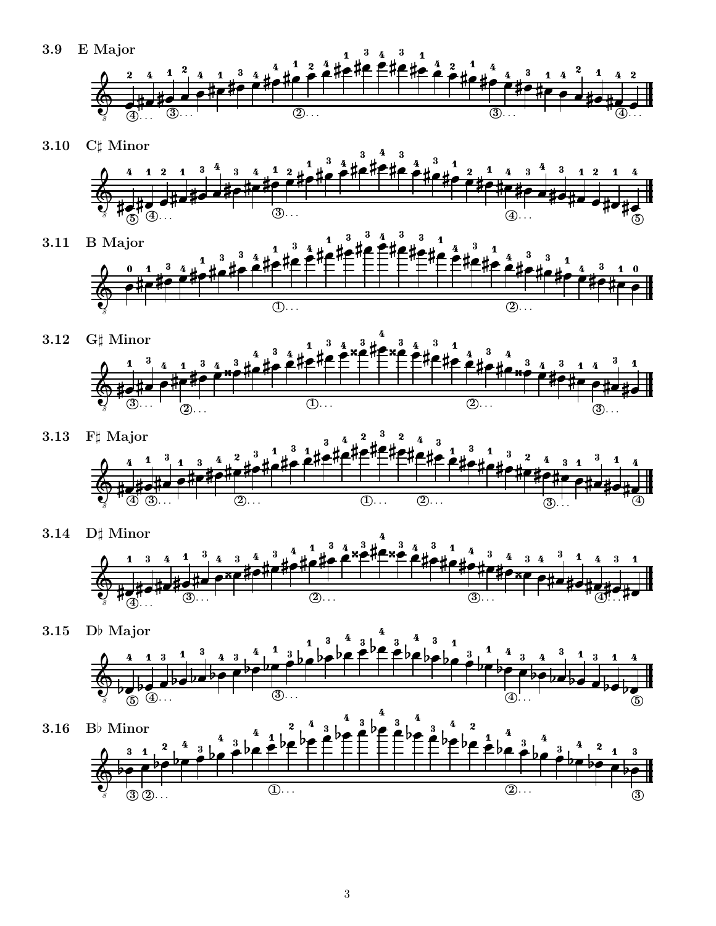3.9 E Major



3.10  $C\sharp$  Minor



. . .

- 3.11 B Major 8 \_\_\_\_ the contract of the contract of the contract of the contract of the contract of the contract of the contract of the contract of the contract of the contract of the contract of the contract of the contract of the contract of . . .  $\circled{2}$ . the contract of the contract of the contract of the contract of the contract of the contract of the contract of \_\_\_\_  $\blacksquare$  . The contract of the contract of the contract of the contract of the contract of the contract of the contract of the contract of the contract of the contract of the contract of the contract of the contract of the  $\sim$  0.000  $\sim$  0.000  $\sim$  0.000  $\sim$  0.000  $\sim$  0.000  $\sim$  0.000  $\sim$  0.000  $\sim$  0.000  $\sim$  0.000  $\sim$  0.000  $\sim$  0.000  $\sim$  0.000  $\sim$  0.000  $\sim$  0.000  $\sim$  0.000  $\sim$  0.000  $\sim$  0.000  $\sim$  0.000  $\sim$  0.000  $\sim$  0.000  $\sim$   $\sim$   $\sim$   $\sim$   $\sim$ \_\_\_\_\_ the contract of the contract of the contract of the contract of the contract of the contract of the contract of  $\sim$  0.000  $\sim$  0.000  $\sim$  0.000  $\sim$  0.000  $\sim$  0.000  $\sim$  0.000  $\sim$  0.000  $\sim$  0.000  $\sim$  0.000  $\sim$  0.000  $\sim$  0.000  $\sim$  0.000  $\sim$  0.000  $\sim$  0.000  $\sim$  0.000  $\sim$  0.000  $\sim$  0.000  $\sim$  0.000  $\sim$  0.000  $\sim$  0.000 . . . . \_\_\_\_\_\_\_\_ the contract of the contract of the contract of the contract of the contract of the contract of the contract of . . . \_\_\_\_ the contract of the contract of the contract of the contract of the contract of the contract of the contract of and the contract of the contract of the contract of the contract of the contract of the contract of the contract of . . . \_ \_ \_ \_ \_ \_ \_ \_ \_ \_\_\_\_\_\_\_\_\_ . . . \_ \_ \_ \_ \_ \_ . . . \_ \_ \_ \_ \_ \_ \_ . . . . . . . . . . \_ \_ \_ \_ \_ \_ \_ \_ \_ \_ . . . \_ \_ \_ \_ \_ \_ . . . \_\_\_\_\_\_\_\_\_ \_ \_ \_ \_ \_ \_ \_ \_ \_ \_ \_ . . . <sup>1</sup> . . . . . 9. . \_\_\_\_\_\_\_  $\sim$   $\sim$   $\sim$   $\sim$   $\sim$   $\sim$
- 3.12 G $\sharp$  Minor 8 the contract of the contract of the contract of the contract of the contract of the contract of the contract of . . . \_ … <sup>3</sup> . . . the contract of the contract of the contract of the contract of the contract of the contract of the contract of  $\blacksquare$  . The contract of the contract of the contract of the contract of the contract of the contract of the contract of the contract of the contract of the contract of the contract of the contract of the contract of the \_\_\_\_\_\_ \_\_\_\_\_ the contract of the contract of the contract of the contract of the contract of the contract of the contract of the contract of the contract of the contract of the contract of the contract of the contract of the contract of  $\overline{2}$ ... . . . - - - - - - - \_\_\_\_\_\_\_\_\_\_\_\_ \_ \_ \_ \_ \_ . . .  $\overline{10...}$  \_ \_ \_ \_ \_ \_ \_ \_ \_ \_ . . . - - - - - - - - \_ \_ \_ \_ \_ \_ \_ . . . . . .  $(2).$ \_\_\_\_\_\_ \_\_\_\_\_\_\_ . . . \_\_\_\_\_ - - - - - - - - - . . . <sup>3</sup> . . .
- 3.13  $F\sharp$  Major 8 \_\_\_\_\_\_\_\_ . . . \_\_\_\_\_\_\_\_ \_\_\_\_\_\_\_\_  $\overline{\textcircled{\textcirc}}}$  and the contract of the contract of the contract of the contract of the contract of the contract of the contract of the contract of the contract of the contract of the contract of the contract of the contract of the contra  $\overline{\circledS}$  . . the contract of the contract of the contract of the contract of the contract of the contract of the contract of **A** Alberta 2 March 2 March 2 March 2 March 2 March 2 March 2 March 2 March 2 March 2 March 2 March 2 March 2 March 2 March 2 March 2 March 2 March 2 March 2 March 2 March 2 March 2 March 2 March 2 March 2 March 2 March 2 . . . . . . the contract of the contract of the contract of the contract of the contract of the contract of the contract of \_ \_ \_ \_ \_ \_ \_ \_  $(1)$ ... the contract of the contract of the contract of the contract of the contract of the contract of the contract of \_\_\_\_ the contract of the contract of the contract of the contract of the contract of the contract of the contract of  $(2)$ ... \_ \_ \_ \_ \_ \_ \_ \_ \_ \_ . . . the contract of the contract of the contract of the contract of the contract of the contract of the contract of \_ \_ \_ \_ \_ \_ \_ \_ \_ \_ \_ \_ \_ \_ . . . \_\_\_\_\_\_\_\_\_\_\_\_ . . . \_\_\_\_\_\_\_ \_\_\_\_\_\_\_\_ . . . . . . \_ \_ \_ \_ \_ \_ \_ \_ \_ \_  $\overline{\textcircled{2}}$  . . . - 2000 - - -<del>▓▟▓▟▓▘▓▘▕▝▝▏░▏</del><br>"ᠿ▕ᠿ<sub>▖</sub> <del>1010 PHP FF "|</del><br>}<br>) 3)... (2
- 3.14 D $\sharp$  Minor  $\frac{1}{8}$   $\frac{1}{8}$   $\frac{1}{8}$   $\frac{1}{8}$   $\frac{1}{8}$   $\frac{1}{8}$   $\frac{1}{8}$   $\frac{1}{8}$   $\frac{1}{8}$   $\frac{1}{8}$   $\frac{1}{8}$   $\frac{1}{8}$   $\frac{1}{8}$   $\frac{1}{8}$   $\frac{1}{8}$   $\frac{1}{8}$   $\frac{1}{8}$   $\frac{1}{8}$   $\frac{1}{8}$   $\frac{1}{8}$   $\frac{1}{8}$   $\frac{1}{8}$  <del>⋕▅▏<sub>⋕</sub>▗▏╷┈╎╎╢</del><br>╵┌<u></u>╕┩⋰. ╫╺  $\sim$  0.000  $\sim$  0.000  $\sim$  0.000  $\sim$  0.000  $\sim$  0.000  $\sim$  0.000  $\sim$  0.000  $\sim$  0.000  $\sim$  0.000  $\sim$  0.000  $\sim$  0.000  $\sim$  0.000  $\sim$  0.000  $\sim$  0.000  $\sim$  0.000  $\sim$  0.000  $\sim$  0.000  $\sim$  0.000  $\sim$  0.000  $\sim$  0.000 - - - the contract of the contract of the contract of the contract of the contract of the contract of the contract of the contract of the contract of the contract of the contract of the contract of the contract of the contract of  $(3)$ . the contract of the contract of the contract of the contract of the contract of the contract of the contract of . . . . . .  $\overline{2}$ ... \_ \_ \_ \_ \_ \_ \_ \_ ---------- \_\_\_\_\_\_\_\_ . . . . . . . . . --------- - - - . . . . . . \_\_\_\_\_\_\_ . . . <sup>4</sup> . . . . . . \_\_\_\_\_\_\_ \_\_\_\_\_\_\_ <sup>3</sup> . . .
- 3.15 D $\flat$  Major <sup>8</sup> . . . . . . . . . . 5 - - -\_\_\_\_\_\_\_\_\_ . . . . . . . .  $\blacksquare$  . The contract of the contract of the contract of the contract of the contract of the contract of the contract of the contract of the contract of the contract of the contract of the contract of the contract of the . . . . . . . - - - $\blacksquare$  . The contract of the contract of the contract of the contract of the contract of the contract of the contract of the contract of the contract of the contract of the contract of the contract of the contract of the  $\textcircled{4}$  . . . . . . . . . . . .  $\blacksquare$  . The contract of the contract of the contract of the contract of the contract of the contract of the contract of the contract of the contract of the contract of the contract of the contract of the contract of the \_ \_ \_ \_ \_\_\_ \_ \_ \_ \_ \_ . . . . . . ----------- . . . . . . . . . . . . . . - - - - - -. . .  $\sim$  100  $\sim$  100  $\sim$  100  $\sim$  100  $\sim$  100  $\sim$  100  $\sim$  100  $\sim$  100  $\sim$  100  $\sim$  100  $\sim$  100  $\sim$  100  $\sim$  100  $\sim$  100  $\sim$  100  $\sim$  100  $\sim$  100  $\sim$  100  $\sim$  100  $\sim$  100  $\sim$  100  $\sim$  100  $\sim$  100  $\sim$  100  $\sim$   $\overline{\circledS}$ ... . . . .  $\frac{1}{5}$  ...<br>5 4... . . . . . . . . . - - - -. . . - 1. 1. 3.16 B $\flat$  Minor 8 . . . 3 - - - -  $\overline{2}$ ... . . . \_\_\_\_\_\_\_\_\_ . . . \_\_\_\_\_\_\_\_ . . . and the contract of the contract of the contract of the contract of the contract of the contract of the contract of - - - - - - - - -  $\sim$   $\sim$   $\sim$   $\sim$ . . . . . . . - - - . . . . . . .  $\overline{1}$ ... \_ \_ \_ \_ \_ \_ \_ - - - - - . . . \_ \_ \_ \_ \_ \_ \_ . . .  $\bullet$  ...<br>3 2...  $\sim$   $\sim$   $\sim$   $\sim$ . . . . \_ \_ \_ \_ \_ . . . \_\_\_\_\_\_\_ . . . . . . . . \_\_\_\_\_\_\_  $\sim$   $\sim$   $\sim$ - - - - - -\_\_\_\_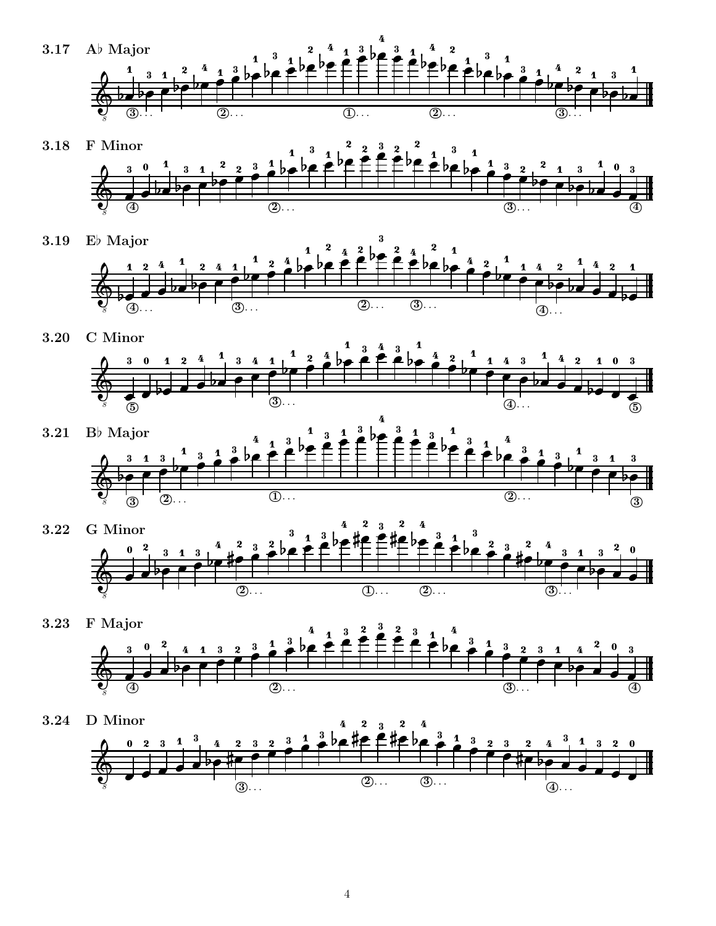

- 3.18 F Minor  $\overline{\circledast}$  $\frac{3}{8}$  and  $\frac{3}{8}$  and  $\frac{3}{8}$  and  $\frac{3}{8}$  and  $\frac{3}{8}$  and  $\frac{3}{8}$  and  $\frac{3}{8}$  and  $\frac{3}{8}$  and  $\frac{3}{8}$  and  $\frac{3}{8}$  and  $\frac{3}{8}$  and  $\frac{3}{8}$  and  $\frac{3}{8}$  and  $\frac{3}{8}$  and  $\frac{3}{8}$  and  $\frac{3}{8}$  a . . . . . . . . . . - - - $\frac{1}{3}$ ... . . .  $\blacksquare$  . The contract of the contract of the contract of the contract of the contract of the contract of the contract of the contract of the contract of the contract of the contract of the contract of the contract of the  $\sim$   $\sim$   $\sim$   $\sim$   $\sim$   $\sim$   $\sim$   $\sim$  . . . . and the contract of the contract of the contract of the contract of the contract of the contract of the contract of  $\blacksquare$  . The contract of the contract of the contract of the contract of the contract of the contract of the contract of the contract of the contract of the contract of the contract of the contract of the contract of the  $\sim$  -  $\sim$  -  $\sim$  -  $\sim$  -  $\sim$  -  $\sim$  -  $\sim$  -  $\sim$  -  $\sim$  -  $\sim$  -  $\sim$  -  $\sim$  -  $\sim$  -  $\sim$  -  $\sim$  -  $\sim$  -  $\sim$  -  $\sim$  -  $\sim$  -  $\sim$  -  $\sim$  -  $\sim$  -  $\sim$  -  $\sim$  -  $\sim$  -  $\sim$  -  $\sim$  -  $\sim$  -  $\sim$  -  $\sim$  -  $\sim$  -  $\sim$  $\blacksquare$   $\blacksquare$   $\blacksquare$   $\blacksquare$   $\blacksquare$   $\blacksquare$   $\blacksquare$   $\blacksquare$   $\blacksquare$   $\blacksquare$   $\blacksquare$   $\blacksquare$   $\blacksquare$   $\blacksquare$   $\blacksquare$   $\blacksquare$   $\blacksquare$   $\blacksquare$   $\blacksquare$   $\blacksquare$   $\blacksquare$   $\blacksquare$   $\blacksquare$   $\blacksquare$   $\blacksquare$   $\blacksquare$   $\blacksquare$   $\blacksquare$   $\blacksquare$   $\blacksquare$   $\blacksquare$   $\blacks$  $2 \tbinom{3}{2} \tbinom{2}{1}$  - - - - - -3  $\pm$  be De  $E^{\prime}$ . . . 2. . . 1 | he  $\overline{\bigcirc}$ ...  $\mathbf{A} \bullet \mathbf{A} \bullet \mathbf{A}$  \_\_\_\_ I ∴he <del>Ø</del> F Ø . . . . - - - - - - . . . - - - - --  $\sim$   $\sim$   $\sim$   $\sim$   $\sim$   $\sim$ - - - -- - - $\overline{\circledast}$
- 3.19 Eb Major <sup>8</sup> . . .  $\blacksquare$  . The contract of the contract of the contract of the contract of the contract of the contract of the contract of the contract of the contract of the contract of the contract of the contract of the contract of the  $\bullet$  be a set of the set of  $\bullet$  . . . . . . 4 2 4 1 1 2 2 2  $\overline{\bigoplus}$ ... - - - $(3)$   $\sim$  1  $4 \leq b$   $\leq 4$ ,  $1$ 2  $2^2$   $4^2$  1  $\overline{(2)}$ ... - - - I ≦ ⊿ D<del>Ø</del> ″<del>F</del> + - **4 L** \_ b *e* ● <del>『</del> 'F I L.AZ<sup>V</sup>EZ - <del>▏▕▕▖▖▗▖▞▝</del>▘ - - - $\sqrt{2}$   $\overline{4}$ ...  $\overline{3}$ ... . . .  $\frac{1}{4}$
- 3.20 C Minor  $\frac{37}{8}$  and  $\frac{3}{8}$  and  $\frac{3}{8}$  ... (4) . . . .  $\overline{\phantom{a}}$  , and the set of  $\overline{\phantom{a}}$   $\overline{5}$ . . . .  $\begin{array}{|c|c|c|c|}\hline \text{\textcolor{red}{\bullet}} & \text{\textcolor{red}{\bullet}} & \text{\textcolor{red}{\bullet}} & \text{\textcolor{red}{\bullet}} \\ \hline \text{\textcolor{red}{\bullet}} & \text{\textcolor{red}{\bullet}} & \text{\textcolor{red}{\bullet}} & \text{\textcolor{red}{\bullet}} & \text{\textcolor{red}{\bullet}} \\ \text{\textcolor{red}{\bullet}} & \text{\textcolor{red}{\bullet}} & \text{\textcolor{red}{\bullet}} & \text{\textcolor{red}{\bullet}} & \text{\textcolor{red}{\bullet}} & \text{\textcolor{red}{\bullet}} \\ \text{\textcolor{red}{\bullet}} & \text{\textcolor{red}{$ - - - . . . .  $\frac{4}{9}$   $\frac{2}{1}$  1 4 3  $\frac{1}{1}$  4 2 1  $\sim$   $\sim$   $\sim$  . . . \_\_\_\_\_\_  $\sim$   $\sim$   $\sim$   $\sim$ . . .  $\sim$   $\sim$   $\sim$   $\sim$ \_\_\_\_\_\_\_\_\_ . . . ----- <sup>3</sup> . . . **I 2 ⊿ D≢ F +**  $2 \stackrel{4}{\phantom{1}}$  be 2  $\stackrel{4}{\phantom{1}}$   $\stackrel{4}{\phantom{1}}$  $4 \perp$   $2 \cdot 2 \cdot 1$  <del>, , , , , , , , , , , ,</del> . . . . <del>, , , , , , , , ,</del> - - - -\_\_\_\_\_  $\overline{5}$
- 3.21 B $\flat$  Major  $\overline{\textcircled{3}}$  8  $\sim$  1.000  $\sim$  1.000  $\sim$  1.000  $\sim$  1.000  $\sim$  1.000  $\sim$  1.000  $\sim$  1.000  $\sim$  1.000  $\sim$  1.000  $\sim$  1.000  $\sim$  1.000  $\sim$  1.000  $\sim$  1.000  $\sim$  1.000  $\sim$  1.000  $\sim$  1.000  $\sim$  1.000  $\sim$  1.000  $\sim$  1.000  $\sim$  1.000 . . . . . .  $\bullet$  Let  $\bullet$  1 a 1 a 1 - - - -  $\overline{2}$ ... \_\_\_\_\_\_\_  $4.2^{p}$   $2.4^{3}$   $3.4^{2}$  . . .  $\blacksquare$  . The contract of the contract of the contract of the contract of the contract of the contract of the contract of the contract of the contract of the contract of the contract of the contract of the contract of the . . . \_ \_ \_ L.â∎<sup>d</sup>£fi  $-2$   $\overline{\bigoplus \ldots}$  $3 \text{ h}$   $\mathbf{z} \in \mathbb{C}$   $\subseteq \mathbb{C}$  . . .  $\sim$  1  $\sim$  1 - - - - - - <sup>2</sup> . . . ▏▁▝▁▗▖<del>▞</del>▘<sup>▞</sup>▀▕▔ 1 º b• <del>₽</del> "f . . . . \_ \_ \_ \_ . . .  $\overline{\textcircled{3}}$
- 3.22 G Minor  $\begin{array}{c} 0 \ \frac{1}{2} \ \frac{1}{2} \ \frac{1}{2} \ \frac{1}{2} \ \frac{1}{2} \ \frac{1}{2} \ \frac{1}{2} \ \frac{1}{2} \ \frac{1}{2} \ \frac{1}{2} \ \frac{1}{2} \ \frac{1}{2} \ \frac{1}{2} \ \frac{1}{2} \ \frac{1}{2} \ \frac{1}{2} \ \frac{1}{2} \ \frac{1}{2} \ \frac{1}{2} \ \frac{1}{2} \ \frac{1}{2} \ \frac{1}{2} \ \frac{1}{2} \ \frac{1}{2} \ \frac{1}{2} \ \frac{1}{2} \ \frac$ . . . . . .  $\sim$  . The contract of the contract of the contract of the contract of the contract of the contract of the contract of the contract of the contract of the contract of the contract of the contract of the contract of the co  $\frac{1}{2}$   $\frac{3}{2}$   $\frac{1}{2}$   $\frac{3}{2}$   $\frac{1}{2}$   $\overline{\circledS}$  ... \_\_\_\_\_\_ ▲ **△**   $\begin{array}{ccc} \n & 2 & 3 & 2 \n \end{array}$  -  $(1)$ ... المالية المسار . . . - #el. 3 1 <sup>3</sup>  $(2)$ ... \_ \_ \_ \_ \_ 2 L . 2 0 D L 11 ▏▁▝▁*▃*D*●-*1<del>▛</del>╶⊦ 1 º b<del>a</del> 12 2 1 <sup>3</sup> L∠∦a <del>£</del>∦a L the contract of the contract of the contract of the contract of the contract of the contract of the contract of  $\sim$   $\sim$   $\sim$ ▏▕*▖*▏▃▗▖*●▝▝*▀▝─ - - - $\overline{\textcircled{2}}$  . . . 1. . **A** *V I* E L \_\_\_\_\_ \_ \_ \_ \_ . . .
- 3.23 F Major and the contract of the contract of the contract of the contract of the contract of the contract of the contract of the contract of the contract of the contract of the contract of the contract of the contract of the contra  $\overline{\textcircled{\textcirc}}}$ <sup>8</sup> . . . . . . . . . . and the contract of the contract of the contract of the contract of the contract of the contract of the contract of  $\sim$  . The contract of the contract of the contract of the contract of the contract of the contract of the contract of the contract of the contract of the contract of the contract of the contract of the contract of the co  $\blacksquare$  . The contract of the contract of the contract of the contract of the contract of the contract of the contract of the contract of the contract of the contract of the contract of the contract of the contract of the the contract of the contract of the contract of the contract of the contract of the contract of the contract of  $\frac{1}{3}$  ... \_\_\_\_\_\_\_ \_\_\_\_\_\_\_ \_ \_ \_ \_ \_  $\sim$   $\sim$   $\sim$  - - - -. . . \_ \_ \_ \_ . . . \_\_\_\_\_ . . . . - - - -. . .  $2 \rightarrow 2$   $2 \rightarrow 1$ . . . - - - - - - -. . .  $(2)$ ... . . . - - - $\overline{\textcircled{\small 4}}$ - - - - -- - - -. . . . . . .
- 3.24 D Minor  $\begin{array}{c} 8 \ \hline \end{array}$  and  $\begin{array}{c} 8 \ \hline \end{array}$  (3)... (3)... (3)... (4)... (4)... . . . - - - . . . <del>∦▄▕▁▁──┤──┤──┤──</del>┼  $\bigoplus \dots$ . . .  $3$  b  $\frac{1}{2}$   $\frac{1}{2}$   $\frac{1}{2}$   $\frac{1}{2}$   $\frac{1}{2}$   $\frac{1}{2}$   $\frac{1}{2}$   $\frac{1}{2}$   $\frac{1}{2}$   $\frac{1}{2}$   $\frac{1}{2}$   $\frac{1}{2}$   $\frac{1}{2}$   $\frac{1}{2}$   $\frac{1}{2}$   $\frac{1}{2}$   $\frac{1}{2}$   $\frac{1}{2}$   $\frac{1}{2}$   $\frac{1}{2}$   $\frac{1}{2}$   $\frac{1$  $\sim$  0.000  $\sim$  0.000  $\sim$  0.000  $\sim$  0.000  $\sim$  0.000  $\sim$  0.000  $\sim$  0.000  $\sim$  0.000  $\sim$  0.000  $\sim$  0.000  $\sim$  0.000  $\sim$  0.000  $\sim$  0.000  $\sim$  0.000  $\sim$  0.000  $\sim$  0.000  $\sim$  0.000  $\sim$  0.000  $\sim$  0.000  $\sim$  0.000  $\overline{3}$ ... **A** 4 9 2 3 2 the contract of the contract of the contract of the contract of the contract of the contract of the contract of  $\overline{2}$ ... . . . - - - $\circled{3}$ ... . . .  $2 \rightarrow 2$  -  $P$   $P$   $H$   $+$  1 º b•**10 f** 1 \_\_\_\_\_ . . . \_ \_ \_ \_ \_  $\sim$   $\sim$   $\sim$ the contract of the contract of the contract of the contract of the contract of the contract of the contract of . . .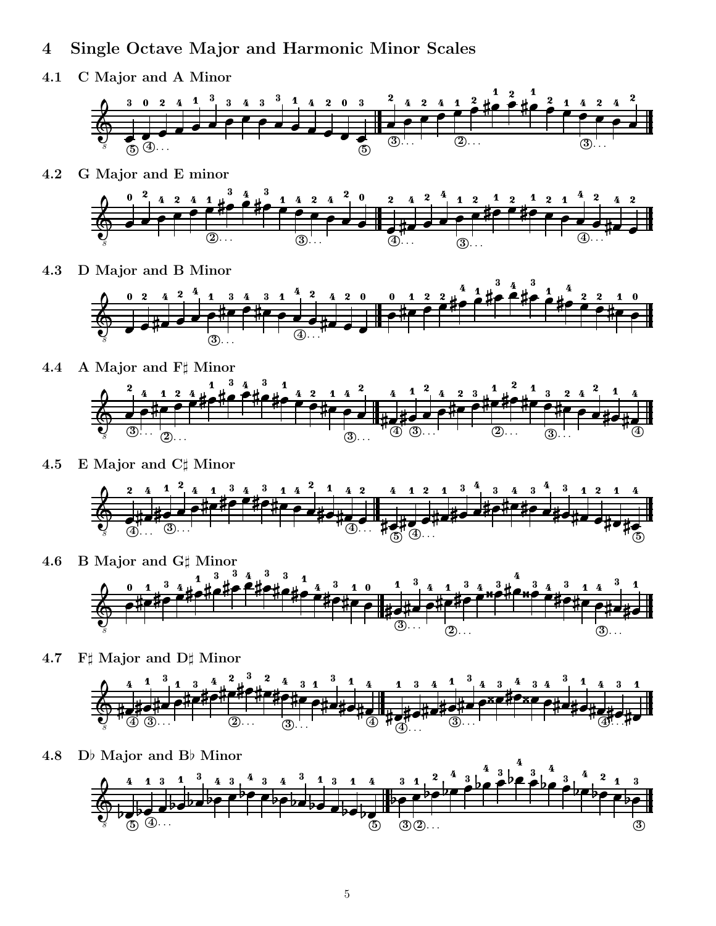### 4 Single Octave Major and Harmonic Minor Scales

4.1 C Major and A Minor





4.3 D Major and B Minor



- 4.4 A Major and  $F\sharp$  Minor  $\frac{4}{4}$  4 4 4 4 5 6  $\frac{1}{4}$ <sup>8</sup> . . . <del>10 0 didi</del><br>3 ... <sup>12</sup>  $\sim$  0.000  $\sim$  0.000  $\sim$  0.000  $\sim$  0.000  $\sim$  0.000  $\sim$  0.000  $\sim$  0.000  $\sim$  0.000  $\sim$  0.000  $\sim$  0.000  $\sim$  0.000  $\sim$  0.000  $\sim$  0.000  $\sim$  0.000  $\sim$  0.000  $\sim$  0.000  $\sim$  0.000  $\sim$  0.000  $\sim$  0.000  $\sim$  0.000 - - - - - - - -. . . . . .  $\overline{\textcircled{2}}$  . . . the contract of the contract of the contract of the contract of the contract of the contract of the contract of . . . . <sup>4</sup> <sup>3</sup> . . . \_\_\_\_\_\_\_\_ . . . . . . . . . . . \_\_\_\_  $\overline{3}$ ... \_ \_ \_ \_ \_ \_ \_ . . . the contract of the contract of the contract of the contract of the contract of the contract of the contract of \_\_\_\_\_\_\_ . . . the contract of the contract of the contract of the contract of the contract of the contract of the contract of \_\_\_\_\_ the contract of the contract of the contract of the contract of the contract of the contract of the contract of the contract of the contract of the contract of the contract of the contract of the contract of the contract of . . . . <sup>3</sup> . . . - - - - $\overline{2}$ ...
- 4.5 E Major and C# Minor

8

 $\overline{\textcircled{\small{4}}}$ 



- 4.6 B Major and G# Minor 8 . . . \_\_\_\_\_\_\_\_\_ <sup>3</sup> . . . \_\_\_\_\_\_\_ \_\_\_\_\_\_\_\_\_ 医心包 医心室 医心室 人名英格兰人姓氏 医心脏 医心脏 医心脏 医心脏 医心脏 the contract of the contract of the contract of the contract of the contract of the contract of the contract of \_\_\_\_\_\_\_ \_\_\_\_\_\_\_ . . . . . . .  $(2)$ . . . \_ \_ \_ \_ \_ \_ \_ . . .  $-1$   $4$   $3$   $1$   $0$   $1$  \_ \_ \_ \_ \_ \_ \_ \_ \_ \_ \_ \_ \_  $\overline{\circledS}$ ... \_\_\_\_\_\_\_ . . . the contract of the contract of the contract of the contract of the contract of the contract of the contract of the contract of the contract of the contract of the contract of the contract of the contract of the contract of the contract of the contract of the contract of the contract of the contract of the contract of the contract of . . . \_\_\_\_\_\_\_ . . . ------------. . . \_ \_ \_ \_ \_ \_ \_ \_ \_ \_ . . . \_ \_ \_ \_ \_ \_ . . .
- 4.7  $F$  Major and  $D$  Minor  $3 \t3 \t3 \t4 \t1$  <sup>4</sup> . . . --------. . . . . 0 . . . . . . - - - <del>▀▗▚▅<sub>▓</sub>▗▖▕▐▏▕▁▕▖▗▖▗▖▅▓▅▗▘▀<br>▕▕▝▕▚▅▓▗▚▅▐▌▖▗▓▗▓▗▀▞▖▀▞▖▅░<br></del>▁▁▁▁▁▁▁▁▁▁▁▁ . . . . . .  $-$ <u>#diluded</u><br>"4 #d#d \_ \_ \_ \_ \_ \_ \_ \_ . . .  $\frac{3}{2}$   $\frac{2}{4}$   $\frac{3}{4}$ and the contract of the contract of the contract of the contract of the contract of the contract of the contract of  $\sim$  . The contract of the contract of the contract of the contract of the contract of the contract of the contract of the contract of the contract of the contract of the contract of the contract of the contract of the co the contract of the contract of the contract of the contract of the contract of the contract of the contract of <del>1010 PHP FF "|</del><br>) 3... 2 \_ \_ \_ \_ \_ \_ \_ \_ \_ . . . . . . \_\_\_\_\_\_\_ - - -

 $\circledS$ ...

 $\overline{\circled{2}}$ ...

\_\_\_\_\_\_\_\_



<sup>4</sup> . . .

\_\_\_\_\_\_\_\_\_

\_\_\_\_\_\_\_

the contract of the contract of the contract of the contract of the contract of the contract of the contract of

. . .

 $-$ 

 

\_\_\_\_\_\_\_\_\_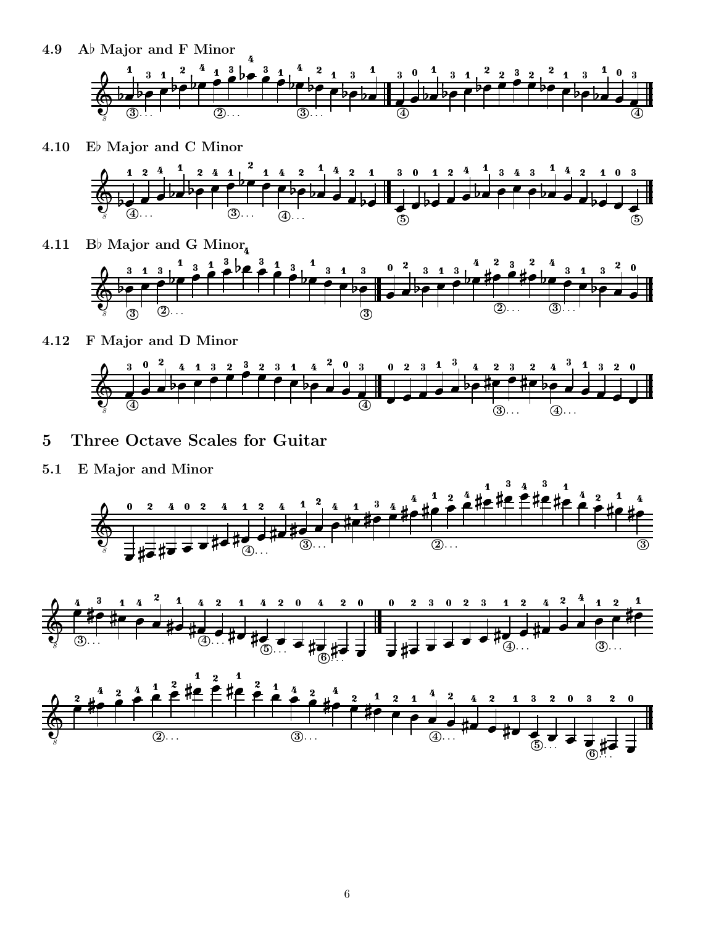4.9 A $\flat$  Major and F Minor



4.10 Eb Major and C Minor



4.11 Bb Major and G Minor<sub>n</sub>

 8  $\overline{\circledS}$  . . . . . . . . . . . . . .  $\sim$   $\sim$   $\sim$  \_ \_ \_ \_ \_ \_  $\overline{\textcircled{2}}$ ... the contract of the contract of the contract of the contract of the contract of the contract of the contract of - - - $\sim$  1.0  $\sim$  1.0  $\sim$  1.0  $\sim$  1.0  $\sim$  1.0  $\sim$  1.0  $\sim$  1.0  $\sim$  1.0  $\sim$  1.0  $\sim$  1.0  $\sim$  1.0  $\sim$  1.0  $\sim$  1.0  $\sim$  1.0  $\sim$  1.0  $\sim$  1.0  $\sim$  1.0  $\sim$  1.0  $\sim$  1.0  $\sim$  1.0  $\sim$  1.0  $\sim$  1.0  $\sim$  1.0  $\sim$  1.0  $\sim$  - - - - - - $\sim$   $\sim$   $\sim$ \_ \_ \_ \_ . . . - - - - . . . . . . . . . - - - - - - -. . . 3  $3<sup>1</sup>$  and  $2<sup>1</sup>$ - - - - $1 \t1$   $2 \text{ h} \cdot \frac{3}{2}$   $1 \t3$  $\frac{1}{2}$  1 3  $\frac{3}{2}$  3 - - - - \_ \_ \_ \_ . . . 3  $(2)$ ...

4.12 F Major and D Minor



- 5 Three Octave Scales for Guitar
- 5.1 E Major and Minor





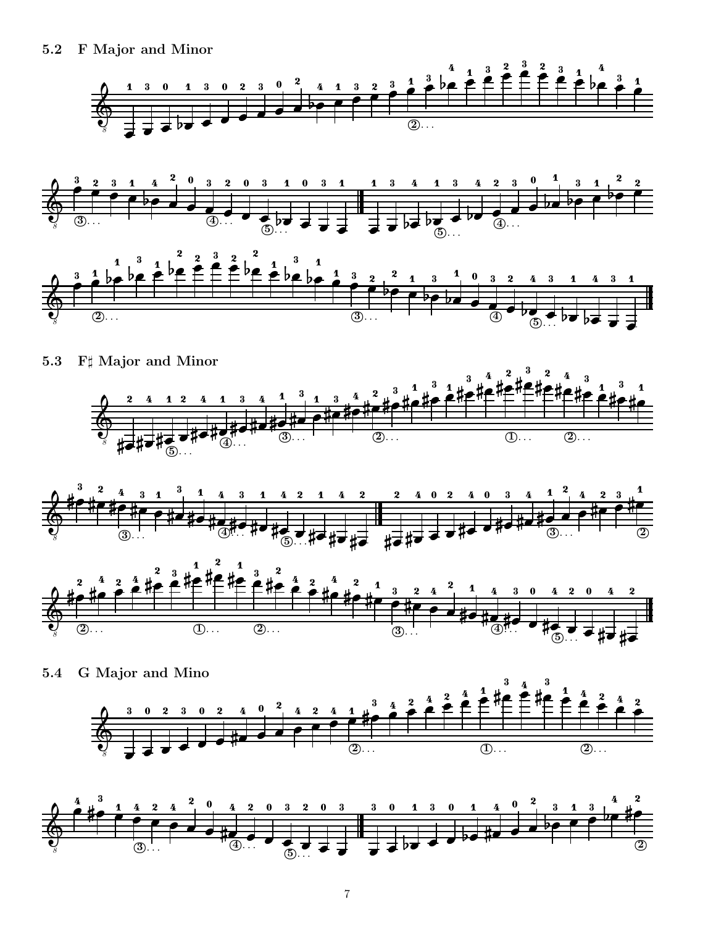





5.3 F Major and Minor . . . . . \_ \_ \_ \_ \_ \_ \_ . . . . . . . . . . . . . . . . . . . . .  $-$ . . . - - - $-$ . . . - - -



. . .

the contract of the contract of the contract of the contract of the contract of the contract of the contract of 

\_\_\_ the contract of the contract of the contract of the contract of the contract of the contract of the contract of

\_ \_ \_ \_ \_ \_ \_ \_ \_ \_ . . . 

\_\_\_\_\_\_\_\_

the contract of the contract of the contract of the contract of the contract of the contract of the contract of 

the contract of the contract of the contract of the contract of the contract of the contract of the contract of

 

 the contract of the contract of the contract of the contract of the contract of the contract of the contract of

 the contract of the contract of the contract of the contract of the contract of the contract of the contract of





5.4 G Major and Mino 8 the contract of the contract of the contract of the contract of the contract of the contract of the contract of  $\blacksquare$  . The contract of the contract of the contract of the contract of the contract of the contract of the contract of the contract of the contract of the contract of the contract of the contract of the contract of the \_\_\_\_\_\_\_  $\overline{2}$ . the contract of the contract of the contract of the contract of the contract of the contract of the contract of \_\_\_\_\_\_\_ \_\_\_\_\_\_\_\_ the contract of the contract of the contract of the contract of the contract of the contract of the contract of \_ \_ \_ \_ \_ . . . - - - -\_ \_ \_ \_ \_ \_ \_ \_ \_ \_ \_ <sup>1</sup> . . . <sup>2</sup> . . . \_ \_ \_ \_ \_ . . . \_ \_ \_ \_ - - - - - $\frac{1}{2}$   $\frac{1}{2}$   $\frac{1}{2}$  $\overline{a}$  , and the contract of  $\overline{a}$  $\frac{2}{\epsilon}$ \_ \_ \_ \_ \_ \_\_\_\_\_ . . . - - - -. . . . . . \_ \_ \_ \_ - - - $-$ \_\_\_\_\_\_\_ . . .

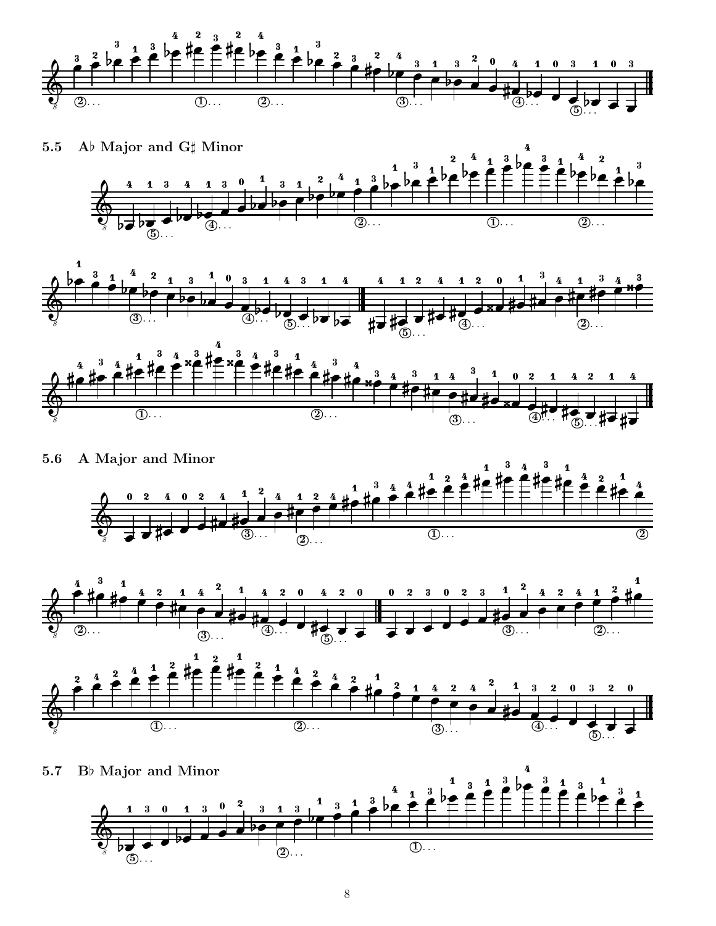